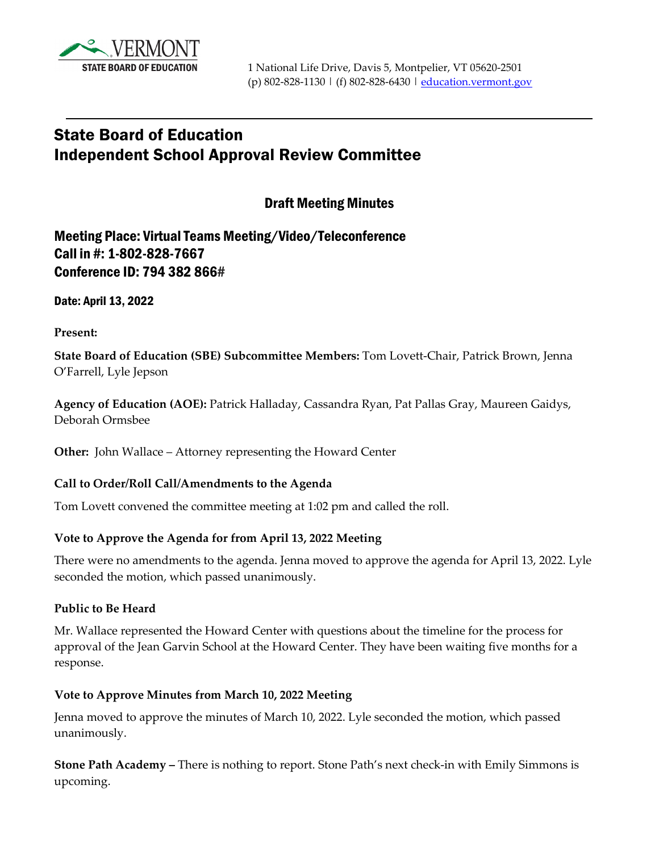

# State Board of Education Independent School Approval Review Committee

Draft Meeting Minutes

Meeting Place: Virtual Teams Meeting/Video/Teleconference Call in #: 1-802-828-7667 Conference ID: 794 382 866#

Date: April 13, 2022

**Present:** 

**State Board of Education (SBE) Subcommittee Members:** Tom Lovett-Chair, Patrick Brown, Jenna O'Farrell, Lyle Jepson

**Agency of Education (AOE):** Patrick Halladay, Cassandra Ryan, Pat Pallas Gray, Maureen Gaidys, Deborah Ormsbee

**Other:** John Wallace – Attorney representing the Howard Center

#### **Call to Order/Roll Call/Amendments to the Agenda**

Tom Lovett convened the committee meeting at 1:02 pm and called the roll.

### **Vote to Approve the Agenda for from April 13, 2022 Meeting**

There were no amendments to the agenda. Jenna moved to approve the agenda for April 13, 2022. Lyle seconded the motion, which passed unanimously.

#### **Public to Be Heard**

Mr. Wallace represented the Howard Center with questions about the timeline for the process for approval of the Jean Garvin School at the Howard Center. They have been waiting five months for a response.

#### **Vote to Approve Minutes from March 10, 2022 Meeting**

Jenna moved to approve the minutes of March 10, 2022. Lyle seconded the motion, which passed unanimously.

**Stone Path Academy –** There is nothing to report. Stone Path's next check-in with Emily Simmons is upcoming.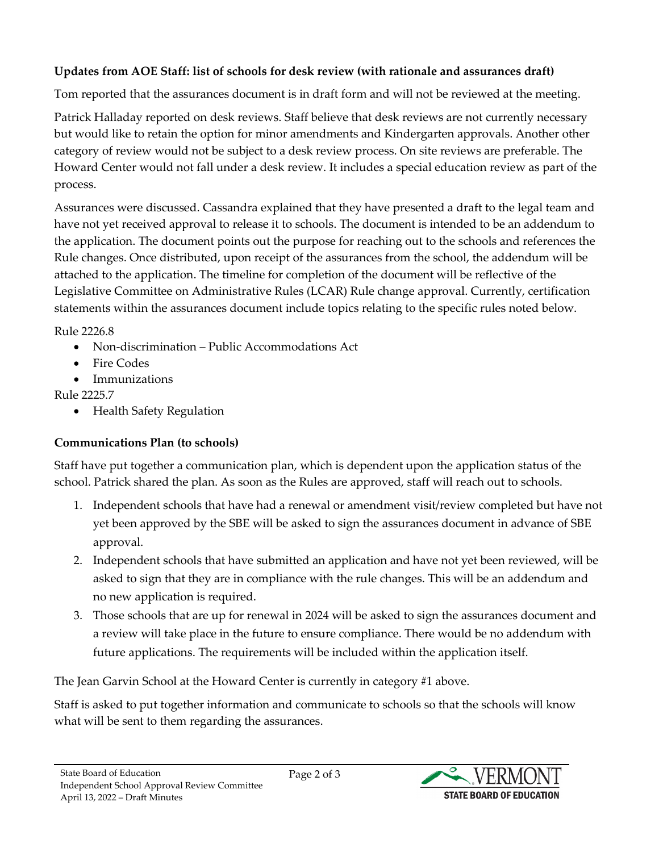# **Updates from AOE Staff: list of schools for desk review (with rationale and assurances draft)**

Tom reported that the assurances document is in draft form and will not be reviewed at the meeting.

Patrick Halladay reported on desk reviews. Staff believe that desk reviews are not currently necessary but would like to retain the option for minor amendments and Kindergarten approvals. Another other category of review would not be subject to a desk review process. On site reviews are preferable. The Howard Center would not fall under a desk review. It includes a special education review as part of the process.

Assurances were discussed. Cassandra explained that they have presented a draft to the legal team and have not yet received approval to release it to schools. The document is intended to be an addendum to the application. The document points out the purpose for reaching out to the schools and references the Rule changes. Once distributed, upon receipt of the assurances from the school, the addendum will be attached to the application. The timeline for completion of the document will be reflective of the Legislative Committee on Administrative Rules (LCAR) Rule change approval. Currently, certification statements within the assurances document include topics relating to the specific rules noted below.

Rule 2226.8

- Non-discrimination Public Accommodations Act
- Fire Codes
- Immunizations

Rule 2225.7

• Health Safety Regulation

# **Communications Plan (to schools)**

Staff have put together a communication plan, which is dependent upon the application status of the school. Patrick shared the plan. As soon as the Rules are approved, staff will reach out to schools.

- 1. Independent schools that have had a renewal or amendment visit/review completed but have not yet been approved by the SBE will be asked to sign the assurances document in advance of SBE approval.
- 2. Independent schools that have submitted an application and have not yet been reviewed, will be asked to sign that they are in compliance with the rule changes. This will be an addendum and no new application is required.
- 3. Those schools that are up for renewal in 2024 will be asked to sign the assurances document and a review will take place in the future to ensure compliance. There would be no addendum with future applications. The requirements will be included within the application itself.

The Jean Garvin School at the Howard Center is currently in category #1 above.

Staff is asked to put together information and communicate to schools so that the schools will know what will be sent to them regarding the assurances.